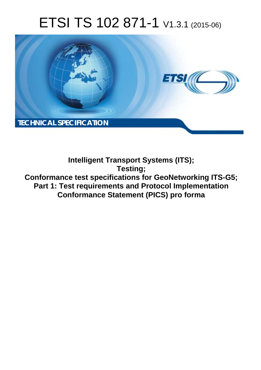# ETSI TS 102 871-1 V1.3.1 (2015-06)



**Intelligent Transport Systems (ITS); Testing; Conformance test specifications for GeoNetworking ITS-G5; Part 1: Test requirements and Protocol Implementation Conformance Statement (PICS) pro forma**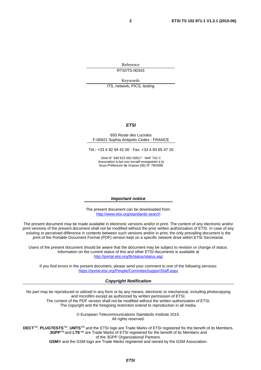Reference RTS/ITS-00343

Keywords

ITS, network, PICS, testing

### *ETSI*

#### 650 Route des Lucioles F-06921 Sophia Antipolis Cedex - FRANCE

Tel.: +33 4 92 94 42 00 Fax: +33 4 93 65 47 16

Siret N° 348 623 562 00017 - NAF 742 C Association à but non lucratif enregistrée à la Sous-Préfecture de Grasse (06) N° 7803/88

#### *Important notice*

The present document can be downloaded from: <http://www.etsi.org/standards-search>

The present document may be made available in electronic versions and/or in print. The content of any electronic and/or print versions of the present document shall not be modified without the prior written authorization of ETSI. In case of any existing or perceived difference in contents between such versions and/or in print, the only prevailing document is the print of the Portable Document Format (PDF) version kept on a specific network drive within ETSI Secretariat.

Users of the present document should be aware that the document may be subject to revision or change of status. Information on the current status of this and other ETSI documents is available at <http://portal.etsi.org/tb/status/status.asp>

If you find errors in the present document, please send your comment to one of the following services: <https://portal.etsi.org/People/CommiteeSupportStaff.aspx>

#### *Copyright Notification*

No part may be reproduced or utilized in any form or by any means, electronic or mechanical, including photocopying and microfilm except as authorized by written permission of ETSI.

The content of the PDF version shall not be modified without the written authorization of ETSI. The copyright and the foregoing restriction extend to reproduction in all media.

> © European Telecommunications Standards Institute 2015. All rights reserved.

**DECT**TM, **PLUGTESTS**TM, **UMTS**TM and the ETSI logo are Trade Marks of ETSI registered for the benefit of its Members. **3GPP**TM and **LTE**™ are Trade Marks of ETSI registered for the benefit of its Members and of the 3GPP Organizational Partners.

**GSM**® and the GSM logo are Trade Marks registered and owned by the GSM Association.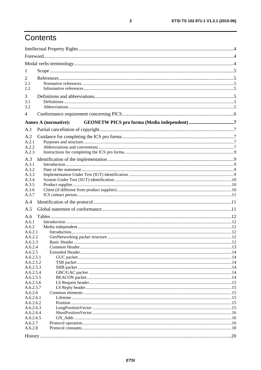# Contents

| 1                      |                             |  |
|------------------------|-----------------------------|--|
| 2                      |                             |  |
| 2.1                    |                             |  |
| 2.2                    |                             |  |
| 3                      |                             |  |
| 3.1                    |                             |  |
| 3.2                    |                             |  |
| 4                      |                             |  |
|                        | <b>Annex A (normative):</b> |  |
|                        |                             |  |
| A.1                    |                             |  |
| A.2                    |                             |  |
| A.2.1                  |                             |  |
| A.2.2<br>A.2.3         |                             |  |
|                        |                             |  |
| A.3<br>A.3.1           |                             |  |
| A.3.2                  |                             |  |
| A.3.3                  |                             |  |
| A.3.4                  |                             |  |
| A.3.5                  |                             |  |
| A.3.6                  |                             |  |
| A.3.7                  |                             |  |
| A.4                    |                             |  |
| A.5                    |                             |  |
| A.6                    |                             |  |
| A.6.1                  |                             |  |
| A.6.2                  |                             |  |
| A.6.2.1<br>A.6.2.2     |                             |  |
| A.6.2.3                |                             |  |
| A.6.2.4                |                             |  |
| A.6.2.5                |                             |  |
| A.6.2.5.1              |                             |  |
| A.6.2.5.2              |                             |  |
| A.6.2.5.3              |                             |  |
| A.6.2.5.4<br>A.6.2.5.5 |                             |  |
| A.6.2.5.6              |                             |  |
| A.6.2.5.7              |                             |  |
| A.6.2.6                |                             |  |
| A.6.2.6.1              |                             |  |
| A.6.2.6.2              |                             |  |
| A.6.2.6.3              |                             |  |
| A.6.2.6.4<br>A.6.2.6.5 |                             |  |
| A.6.2.7                |                             |  |
| A.6.2.8                |                             |  |
|                        |                             |  |
|                        |                             |  |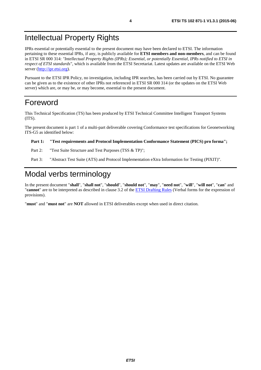# <span id="page-3-0"></span>Intellectual Property Rights

IPRs essential or potentially essential to the present document may have been declared to ETSI. The information pertaining to these essential IPRs, if any, is publicly available for **ETSI members and non-members**, and can be found in ETSI SR 000 314: *"Intellectual Property Rights (IPRs); Essential, or potentially Essential, IPRs notified to ETSI in respect of ETSI standards"*, which is available from the ETSI Secretariat. Latest updates are available on the ETSI Web server [\(http://ipr.etsi.org](http://webapp.etsi.org/IPR/home.asp)).

Pursuant to the ETSI IPR Policy, no investigation, including IPR searches, has been carried out by ETSI. No guarantee can be given as to the existence of other IPRs not referenced in ETSI SR 000 314 (or the updates on the ETSI Web server) which are, or may be, or may become, essential to the present document.

### Foreword

This Technical Specification (TS) has been produced by ETSI Technical Committee Intelligent Transport Systems (ITS).

The present document is part 1 of a multi-part deliverable covering Conformance test specifications for Geonetworking ITS-G5 as identified below:

#### **Part 1: "Test requirements and Protocol Implementation Conformance Statement (PICS) pro forma";**

Part 2: "Test Suite Structure and Test Purposes (TSS & TP)";

Part 3: "Abstract Test Suite (ATS) and Protocol Implementation eXtra Information for Testing (PIXIT)".

# Modal verbs terminology

In the present document "**shall**", "**shall not**", "**should**", "**should not**", "**may**", "**need not**", "**will**", "**will not**", "**can**" and "**cannot**" are to be interpreted as described in clause 3.2 of the [ETSI Drafting Rules](http://portal.etsi.org/Help/editHelp!/Howtostart/ETSIDraftingRules.aspx) (Verbal forms for the expression of provisions).

"**must**" and "**must not**" are **NOT** allowed in ETSI deliverables except when used in direct citation.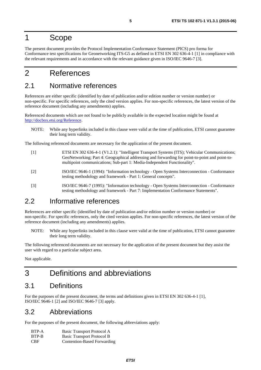# <span id="page-4-0"></span>1 Scope

The present document provides the Protocol Implementation Conformance Statement (PICS) pro forma for Conformance test specifications for Geonetworking ITS-G5 as defined in ETSI EN 302 636-4-1 [1] in compliance with the relevant requirements and in accordance with the relevant guidance given in ISO/IEC 9646-7 [3].

# 2 References

### 2.1 Normative references

References are either specific (identified by date of publication and/or edition number or version number) or non-specific. For specific references, only the cited version applies. For non-specific references, the latest version of the reference document (including any amendments) applies.

Referenced documents which are not found to be publicly available in the expected location might be found at <http://docbox.etsi.org/Reference>.

NOTE: While any hyperlinks included in this clause were valid at the time of publication, ETSI cannot guarantee their long term validity.

The following referenced documents are necessary for the application of the present document.

- [1] ETSI EN 302 636-4-1 (V1.2.1): "Intelligent Transport Systems (ITS); Vehicular Communications; GeoNetworking; Part 4: Geographical addressing and forwarding for point-to-point and point-tomultipoint communications; Sub-part 1: Media-Independent Functionality".
- [2] ISO/IEC 9646-1 (1994): "Information technology Open Systems Interconnection Conformance testing methodology and framework - Part 1: General concepts".
- [3] ISO/IEC 9646-7 (1995): "Information technology Open Systems Interconnection Conformance testing methodology and framework - Part 7: Implementation Conformance Statements".

### 2.2 Informative references

References are either specific (identified by date of publication and/or edition number or version number) or non-specific. For specific references, only the cited version applies. For non-specific references, the latest version of the reference document (including any amendments) applies.

NOTE: While any hyperlinks included in this clause were valid at the time of publication, ETSI cannot guarantee their long term validity.

The following referenced documents are not necessary for the application of the present document but they assist the user with regard to a particular subject area.

Not applicable.

# 3 Definitions and abbreviations

### 3.1 Definitions

For the purposes of the present document, the terms and definitions given in ETSI EN 302 636-4-1 [1], ISO/IEC 9646-1 [2] and ISO/IEC 9646-7 [3] apply.

### 3.2 Abbreviations

For the purposes of the present document, the following abbreviations apply:

| BTP-A      | Basic Transport Protocol A  |
|------------|-----------------------------|
| BTP-B      | Basic Transport Protocol B  |
| <b>CBF</b> | Contention-Based Forwarding |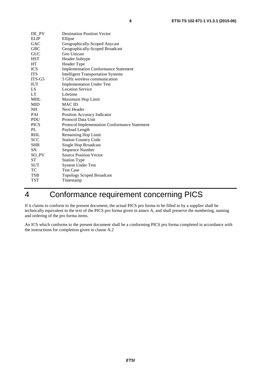<span id="page-5-0"></span>

| DE_PV       | <b>Destination Position Vector</b>            |
|-------------|-----------------------------------------------|
| <b>ELIP</b> | Ellipse                                       |
| GAC         | Geographically-Scoped Anycast                 |
| <b>GBC</b>  | Geographically-Scoped Broadcast               |
| <b>GUC</b>  | Geo Unicast                                   |
| <b>HST</b>  | Header Subtype                                |
| HT          | Header Type                                   |
| <b>ICS</b>  | <b>Implementation Conformance Statement</b>   |
| <b>ITS</b>  | <b>Intelligent Transportation Systems</b>     |
| ITS-G5      | 5 GHz wireless communication                  |
| <b>IUT</b>  | <b>Implementation Under Test</b>              |
| LS.         | <b>Location Service</b>                       |
| <b>LT</b>   | Lifetime                                      |
| <b>MHL</b>  | Maximum Hop Limit                             |
| MID         | <b>MAC ID</b>                                 |
| NH.         | Next Header                                   |
| PAI         | Position Accuracy Indicator                   |
| <b>PDU</b>  | Protocol Data Unit                            |
| <b>PICS</b> | Protocol Implementation Conformance Statement |
| PL          | Payload Length                                |
| <b>RHL</b>  | Remaining Hop Limit                           |
| <b>SCC</b>  | <b>Station Country Code</b>                   |
| <b>SHB</b>  | Single Hop Broadcast                          |
| SN          | Sequence Number                               |
| SO_PV       | <b>Source Position Vector</b>                 |
| ST          | <b>Station Type</b>                           |
| <b>SUT</b>  | <b>System Under Test</b>                      |
| TC          | <b>Test Case</b>                              |
| TSB         | <b>Topology Scoped Broadcast</b>              |
| TST         | Timestamp                                     |

# 4 Conformance requirement concerning PICS

If it claims to conform to the present document, the actual PICS pro forma to be filled in by a supplier shall be technically equivalent to the text of the PICS pro forma given in annex A, and shall preserve the numbering, naming and ordering of the pro forma items.

An ICS which conforms to the present document shall be a conforming PICS pro forma completed in accordance with the instructions for completion given in clause A.2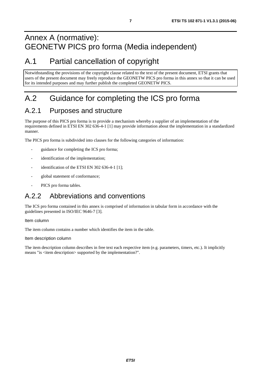# <span id="page-6-0"></span>Annex A (normative): GEONETW PICS pro forma (Media independent)

# A.1 Partial cancellation of copyright

Notwithstanding the provisions of the copyright clause related to the text of the present document, ETSI grants that users of the present document may freely reproduce the GEONETW PICS pro forma in this annex so that it can be used for its intended purposes and may further publish the completed GEONETW PICS.

# A.2 Guidance for completing the ICS pro forma

# A.2.1 Purposes and structure

The purpose of this PICS pro forma is to provide a mechanism whereby a supplier of an implementation of the requirements defined in ETSI EN 302 636-4-1 [\[1](#page-4-0)] may provide information about the implementation in a standardized manner.

The PICS pro forma is subdivided into clauses for the following categories of information:

- guidance for completing the ICS pro forma;
- identification of the implementation;
- identification of the ETSI EN 302 636-4-1 [\[1](#page-4-0)];
- global statement of conformance;
- PICS pro forma tables.

# A.2.2 Abbreviations and conventions

The ICS pro forma contained in this annex is comprised of information in tabular form in accordance with the guidelines presented in ISO/IEC 9646-7 [[3\]](#page-4-0).

#### Item column

The item column contains a number which identifies the item in the table.

#### Item description column

The item description column describes in free text each respective item (e.g. parameters, timers, etc.). It implicitly means "is <item description> supported by the implementation?".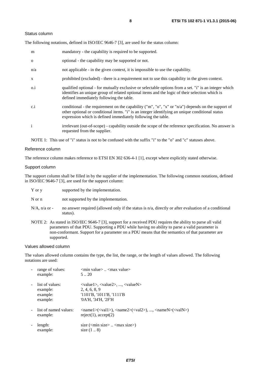#### Status column

The following notations, defined in ISO/IEC 9646-7 [\[3](#page-4-0)], are used for the status column:

| m            | mandatory - the capability is required to be supported.                                                                                                                                                                                                               |
|--------------|-----------------------------------------------------------------------------------------------------------------------------------------------------------------------------------------------------------------------------------------------------------------------|
| $\Omega$     | optional - the capability may be supported or not.                                                                                                                                                                                                                    |
| n/a          | not applicable - in the given context, it is impossible to use the capability.                                                                                                                                                                                        |
| X            | prohibited (excluded) - there is a requirement not to use this capability in the given context.                                                                                                                                                                       |
| $0.\dot{1}$  | qualified optional - for mutually exclusive or selectable options from a set. "i" is an integer which<br>identifies an unique group of related optional items and the logic of their selection which is<br>defined immediately following the table.                   |
| c.i          | conditional - the requirement on the capability ("m", "o", "x" or "n/a") depends on the support of<br>other optional or conditional items. "i" is an integer identifying an unique conditional status<br>expression which is defined immediately following the table. |
| $\mathbf{i}$ | irrelevant (out-of-scope) - capability outside the scope of the reference specification. No answer is<br>requested from the supplier.                                                                                                                                 |

NOTE 1: This use of "i" status is not to be confused with the suffix "i" to the "o" and "c" statuses above.

#### Reference column

The reference column makes reference to ETSI EN 302 636-4-1 [\[1](#page-4-0)], except where explicitly stated otherwise.

#### Support column

The support column shall be filled in by the supplier of the implementation. The following common notations, defined in ISO/IEC 9646-7 [\[3](#page-4-0)], are used for the support column:

- Y or y supported by the implementation.
- N or n not supported by the implementation.
- $N/A$ , n/a or no answer required (allowed only if the status is n/a, directly or after evaluation of a conditional status).
- NOTE 2: As stated in ISO/IEC 9646-7 [\[3](#page-4-0)], support for a received PDU requires the ability to parse all valid parameters of that PDU. Supporting a PDU while having no ability to parse a valid parameter is non-conformant. Support for a parameter on a PDU means that the semantics of that parameter are supported.

#### Values allowed column

The values allowed column contains the type, the list, the range, or the length of values allowed. The following notations are used:

| range of values:<br>example:                        | $\leq$ min value $\geq$ $\leq$ max value $\geq$<br>520                                                                                                                                                      |
|-----------------------------------------------------|-------------------------------------------------------------------------------------------------------------------------------------------------------------------------------------------------------------|
| list of values:<br>example:<br>example:<br>example: | $\langle \text{value1}\rangle, \langle \text{value2}\rangle, , \langle \text{valueN}\rangle$<br>2, 4, 6, 8, 9<br>$'1101'B$ , $'1011'B$ , $'1111'B$<br>'0A'H, '34'H, '2F'H                                   |
| list of named values:<br>example:                   | $\langle \text{name1}\rangle(\langle \text{val1}\rangle)$ , $\langle \text{name2}\rangle(\langle \text{val2}\rangle)$ , , $\langle \text{nameN}\rangle(\langle \text{valN}\rangle)$<br>reject(1), accept(2) |
| length:<br>example:                                 | size $(\text{cmin size})$ $\text{cmax size})$<br>size $(18)$                                                                                                                                                |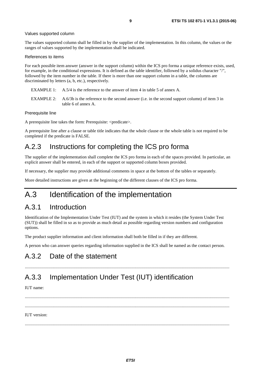#### <span id="page-8-0"></span>Values supported column

The values supported column shall be filled in by the supplier of the implementation. In this column, the values or the ranges of values supported by the implementation shall be indicated.

#### References to items

For each possible item answer (answer in the support column) within the ICS pro forma a unique reference exists, used, for example, in the conditional expressions. It is defined as the table identifier, followed by a solidus character "/", followed by the item number in the table. If there is more than one support column in a table, the columns are discriminated by letters (a, b, etc.), respectively.

- EXAMPLE 1: A.5/4 is the reference to the answer of item 4 in table 5 of annex A.
- EXAMPLE 2: A.6/3b is the reference to the second answer (i.e. in the second support column) of item 3 in table 6 of annex A.

#### Prerequisite line

A prerequisite line takes the form: Prerequisite: <predicate>.

A prerequisite line after a clause or table title indicates that the whole clause or the whole table is not required to be completed if the predicate is FALSE.

### A.2.3 Instructions for completing the ICS pro forma

The supplier of the implementation shall complete the ICS pro forma in each of the spaces provided. In particular, an explicit answer shall be entered, in each of the support or supported column boxes provided.

If necessary, the supplier may provide additional comments in space at the bottom of the tables or separately.

More detailed instructions are given at the beginning of the different clauses of the ICS pro forma.

# A.3 Identification of the implementation

### A.3.1 Introduction

Identification of the Implementation Under Test (IUT) and the system in which it resides (the System Under Test (SUT)) shall be filled in so as to provide as much detail as possible regarding version numbers and configuration options.

The product supplier information and client information shall both be filled in if they are different.

A person who can answer queries regarding information supplied in the ICS shall be named as the contact person.

### A.3.2 Date of the statement

### A.3.3 Implementation Under Test (IUT) identification

IUT name:

 ......................................................................................................................................................................................... ......................................................................................................................................................................................... IUT version:

.........................................................................................................................................................................................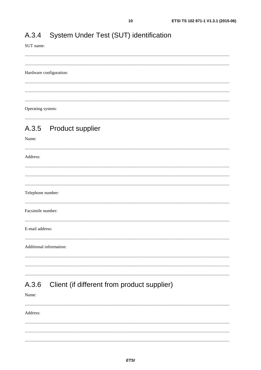#### <span id="page-9-0"></span>System Under Test (SUT) identification A.3.4

SUT name:

 $10$ 

#### Hardware configuration:

 $\frac{1}{2}$  . The contract of the contract of the contract of the contract of the contract of the contract of the contract of the contract of the contract of the contract of the contract of the contract of the contract of t Operating system:

### 

#### A.3.5 **Product supplier**

### Name:

Address: Telephone number: Facsimile number: E-mail address: Additional information: 

#### Client (if different from product supplier) A.3.6

Name:

Address: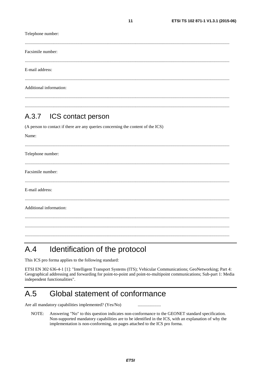<span id="page-10-0"></span>Telephone number: Facsimile number: E-mail address: Additional information:

#### $A.3.7$ ICS contact person

(A person to contact if there are any queries concerning the content of the ICS)

| Name:                   |  |
|-------------------------|--|
|                         |  |
| Telephone number:       |  |
|                         |  |
| Facsimile number:       |  |
|                         |  |
| E-mail address:         |  |
|                         |  |
| Additional information: |  |
|                         |  |
|                         |  |
|                         |  |

#### $A.4$ Identification of the protocol

This ICS pro forma applies to the following standard:

ETSI EN 302 636-4-1 [1]: "Intelligent Transport Systems (ITS); Vehicular Communications; GeoNetworking; Part 4: Geographical addressing and forwarding for point-to-point and point-to-multipoint communications; Sub-part 1: Media independent functionalities".

#### Global statement of conformance  $A.5$

Are all mandatory capabilities implemented? (Yes/No)

NOTE: Answering "No" to this question indicates non-conformance to the GEONET standard specification. Non-supported mandatory capabilities are to be identified in the ICS, with an explanation of why the implementation is non-conforming, on pages attached to the ICS pro forma.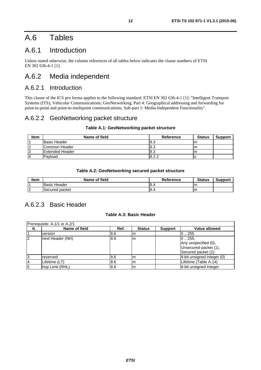# <span id="page-11-0"></span>A.6 Tables

### A.6.1 Introduction

Unless stated otherwise, the column references of all tables below indicates the clause numbers of ETSI EN 302 636-4-1 [\[1](#page-4-0)].

### A.6.2 Media independent

### A.6.2.1 Introduction

This clause of the ICS pro forma applies to the following standard: ETSI EN 302 636-4-1 [\[1](#page-4-0)]: "Intelligent Transport Systems (ITS); Vehicular Communications; GeoNetworking; Part 4: Geographical addressing and forwarding for point-to-point and point-to-multipoint communications; Sub-part 1: Media-Independent Functionality".

### A.6.2.2 GeoNetworking packet structure

### **Table A.1: GeoNetworking packet structure**

| Item | Name of field       | Reference | <b>Status</b> | <b>Support</b> |
|------|---------------------|-----------|---------------|----------------|
|      | <b>Basic Header</b> | l8.3      | ım            |                |
| 2    | Common Header       | l8.3      | m             |                |
| 13   | Extended Header     | l8.3      | m             |                |
| 4    | Pavload             | 8.2.2     |               |                |

### **Table A.2: GeoNetworking secured packet structure**

| <b>Item</b>       | <b>Name of field</b> | <b>Reference</b> | <b>Status</b> | Support |
|-------------------|----------------------|------------------|---------------|---------|
|                   | Header<br>Basic      | -8.              | ш             |         |
| l o<br>$\epsilon$ | packet<br>Secured    | 18.4             | ım            |         |

### A.6.2.3 Basic Header

### **Table A.3: Basic Header**

| Prerequisite: A.1/1 or A.2/1 |                  |      |               |                |                                                                               |  |  |
|------------------------------|------------------|------|---------------|----------------|-------------------------------------------------------------------------------|--|--|
| It.                          | Name of field    | Ref. | <b>Status</b> | <b>Support</b> | <b>Value allowed</b>                                                          |  |  |
|                              | version          | 8.6  | Im            |                | 0.255                                                                         |  |  |
| 2                            | next Header (NH) | 8.6  | Im            |                | 0.255.<br>Any unspecified (0),<br>Unsecured packet (1),<br>Secured packet (2) |  |  |
| 3                            | reserved         | 18.6 | Im            |                | 8-bit unsigned integer (0)                                                    |  |  |
|                              | Lifetime (LT)    | 8.6  | Im            |                | Lifetime (Table A.14)                                                         |  |  |
| 5                            | hop Limit (RHL)  | 8.6  | Im            |                | 8-bit unsigned integer                                                        |  |  |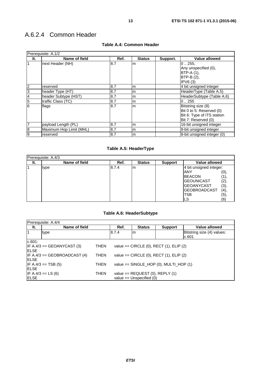### <span id="page-12-0"></span>A.6.2.4 Common Header

| Prerequisite: A.1/2 |                         |      |               |          |                                                                                                     |  |  |
|---------------------|-------------------------|------|---------------|----------|-----------------------------------------------------------------------------------------------------|--|--|
| It.                 | Name of field           | Ref. | <b>Status</b> | Support. | Value allowed                                                                                       |  |  |
| $\overline{1}$      | next Header (NH)        | 8.7  | m             |          | 0.255.<br>Any unspecified (0),<br><b>BTP-A (1).</b><br>BTP-B (2),<br>IPV6(3)                        |  |  |
| $\overline{c}$      | reserved                | 8.7  | m             |          | 4 bit unsigned integer                                                                              |  |  |
| 3                   | header Type (HT)        | 8.7  | m             |          | HeaderType (Table A.5)                                                                              |  |  |
| 4                   | header Subtype (HST)    | 8.7  | m             |          | HeaderSubtype (Table A.6)                                                                           |  |  |
| 5                   | traffic Class (TC)      | 8.7  | m             |          | 0.255                                                                                               |  |  |
| 6                   | flags                   | 8.7  | m             |          | Bitstring size (8)<br>Bit 0 to 5: Reserved (0)<br>Bit 6: Type of ITS station<br>Bit 7: Reserved (0) |  |  |
| $\overline{7}$      | payload Length (PL)     | 8.7  | m             |          | 16-bit unsigned integer                                                                             |  |  |
| 8                   | Maximum Hop Limit (MHL) | 8.7  | m             |          | 8-bit unsigned integer                                                                              |  |  |
| 9                   | reserved                | 8.7  | m             |          | 8-bit unsigned integer (0)                                                                          |  |  |

### **Table A.4: Common Header**

### **Table A.5: HeaderType**

| Prerequisite: A.4/3 |               |       |               |                |                         |      |  |
|---------------------|---------------|-------|---------------|----------------|-------------------------|------|--|
| It.                 | Name of field | Ref.  | <b>Status</b> | <b>Support</b> | <b>Value allowed</b>    |      |  |
|                     | type          | 8.7.4 | l m           |                | 4 bit unsigned integer: |      |  |
|                     |               |       |               |                | ANY                     | (0), |  |
|                     |               |       |               |                | <b>BEACON</b>           | (1), |  |
|                     |               |       |               |                | IGEOUNICAST             | (2), |  |
|                     |               |       |               |                | IGEOANYCAST             | (3), |  |
|                     |               |       |               |                | IGEOBROADCAST           | (4), |  |
|                     |               |       |               |                | TSB                     | (5), |  |
|                     |               |       |               |                | LS                      | (6)  |  |

### **Table A.6: HeaderSubtype**

| Prerequisite: A.4/4                                         |                                |                                               |                                               |                                                                     |                                          |                                     |  |
|-------------------------------------------------------------|--------------------------------|-----------------------------------------------|-----------------------------------------------|---------------------------------------------------------------------|------------------------------------------|-------------------------------------|--|
| It.                                                         | Name of field                  |                                               | Ref.                                          | <b>Status</b>                                                       | <b>Support</b>                           | Value allowed                       |  |
|                                                             | type                           |                                               | 8.7.4                                         | Im                                                                  |                                          | Bitstring size (4) values:<br>c.601 |  |
| c.601:                                                      |                                |                                               |                                               |                                                                     |                                          |                                     |  |
| $IF A.4/3 == GEOANYCAST (3)$<br><b>THEN</b><br><b>IELSE</b> |                                |                                               | value == $CIRCLE$ (0), $RECT$ (1), $ELIP$ (2) |                                                                     |                                          |                                     |  |
| <b>IELSE</b>                                                | $IF A.4/3 == GEOBROADCAST (4)$ | value == $CIRCLE$ (0), $RECT$ (1), $ELIP$ (2) |                                               |                                                                     |                                          |                                     |  |
| <b>IELSE</b>                                                | $IF A.4/3 == TSB (5)$          | <b>THEN</b>                                   |                                               |                                                                     | value == $SINGLE_HOP$ (0), MULTI_HOP (1) |                                     |  |
| <b>ELSE</b>                                                 | $IF A.4/3 == LS (6)$           | THEN                                          |                                               | value == $REQUEST$ (0), $REPLY$ (1)<br>value $==$ Unspecified $(0)$ |                                          |                                     |  |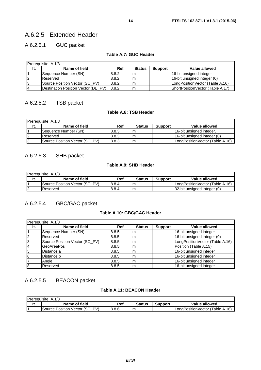### <span id="page-13-0"></span>A.6.2.5.1 GUC packet

#### **Table A.7: GUC Header**

| <b>IPrerequisite: A.1/3</b> |                                     |       |               |                |                                  |  |  |  |
|-----------------------------|-------------------------------------|-------|---------------|----------------|----------------------------------|--|--|--|
| It.                         | Name of field                       | Ref.  | <b>Status</b> | <b>Support</b> | <b>Value allowed</b>             |  |  |  |
|                             | Sequence Number (SN)                | 8.8.2 | Im            |                | 16-bit unsigned integer          |  |  |  |
|                             | Reserved                            | 8.8.2 | Im            |                | 16-bit unsigned integer (0)      |  |  |  |
| 13                          | Source Position Vector (SO PV)      | 8.8.2 | Im            |                | LongPositionVector (Table A.16)  |  |  |  |
| $\overline{A}$              | Destination Position Vector (DE PV) | 8.8.2 | m             |                | ShortPositionVector (Table A.17) |  |  |  |

### A.6.2.5.2 TSB packet

### **Table A.8: TSB Header**

| <b>IPrerequisite: A.1/3</b> |                                |       |               |                |                                 |  |  |  |
|-----------------------------|--------------------------------|-------|---------------|----------------|---------------------------------|--|--|--|
| It.                         | Name of field                  | Ref.  | <b>Status</b> | <b>Support</b> | Value allowed                   |  |  |  |
|                             | Sequence Number (SN)           | 8.8.3 | Im            |                | 16-bit unsigned integer.        |  |  |  |
| 12                          | IReserved                      | 8.8.3 | ım            |                | 16-bit unsigned integer (0)     |  |  |  |
| 13                          | Source Position Vector (SO PV) | 8.8.3 | Im            |                | LongPositionVector (Table A.16) |  |  |  |

### A.6.2.5.3 SHB packet

### **Table A.9: SHB Header**

|        | <b>Prerequisite: A.1/3</b>     |        |               |                |                                 |  |  |  |  |
|--------|--------------------------------|--------|---------------|----------------|---------------------------------|--|--|--|--|
| ιι.    | Name of field                  | Ref.   | <b>Status</b> | <b>Support</b> | Value allowed                   |  |  |  |  |
|        | Source Position Vector (SO PV) | 8.8.4  | ım            |                | LongPositionVector (Table A.16) |  |  |  |  |
| $\sim$ | Reserved                       | l8.8.4 | Im            |                | 32-bit unsigned integer (0)     |  |  |  |  |

### A.6.2.5.4 GBC/GAC packet

### **Table A.10: GBC/GAC Header**

| Prerequisite: A.1/3 |                                |       |               |                |                                 |  |  |  |
|---------------------|--------------------------------|-------|---------------|----------------|---------------------------------|--|--|--|
| It.                 | Name of field                  | Ref.  | <b>Status</b> | <b>Support</b> | <b>Value allowed</b>            |  |  |  |
|                     | Sequence Number (SN)           | 8.8.5 | m             |                | 16-bit unsigned integer         |  |  |  |
| 2                   | Reserved                       | 8.8.5 | Im            |                | 16-bit unsigned integer (0)     |  |  |  |
| 3                   | Source Position Vector (SO_PV) | 8.8.5 | Im            |                | LongPositionVector (Table A.16) |  |  |  |
| $\overline{4}$      | <b>GeoAreaPos</b>              | 8.8.5 | m             |                | Position (Table A.15)           |  |  |  |
| 5                   | Distance a                     | 8.8.5 | Im            |                | 16-bit unsigned integer         |  |  |  |
| 6                   | Distance b                     | 8.8.5 | Im            |                | 16-bit unsigned integer         |  |  |  |
|                     | Angle                          | 8.8.5 | Im            |                | 16-bit unsigned integer         |  |  |  |
| $\overline{8}$      | Reserved                       | 8.8.5 | Im            |                | 16-bit unsigned integer         |  |  |  |

### A.6.2.5.5 BEACON packet

### **Table A.11: BEACON Header**

| Prerequisite: A.1/3              |       |               |          |                                 |
|----------------------------------|-------|---------------|----------|---------------------------------|
| <br>Name of field                | Ref.  | <b>Status</b> | Support. | Value allowed                   |
| PV<br>Source Position Vector (SO | 8.8.6 | Im            |          | LongPositionVector (Table A.16) |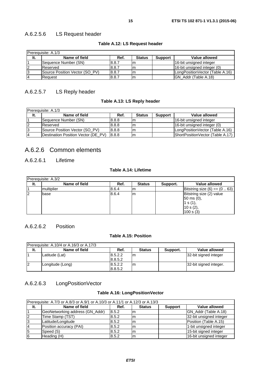### <span id="page-14-0"></span>A.6.2.5.6 LS Request header

| Prerequisite: A.1/3 |                                |       |               |                |                                 |  |  |  |
|---------------------|--------------------------------|-------|---------------|----------------|---------------------------------|--|--|--|
| It.                 | Name of field                  | Ref.  | <b>Status</b> | <b>Support</b> | Value allowed                   |  |  |  |
|                     | Sequence Number (SN)           | 8.8.7 | m             |                | 16-bit unsigned integer         |  |  |  |
| 12                  | Reserved                       | 8.8.7 | lm            |                | 16-bit unsigned integer (0)     |  |  |  |
| IЗ                  | Source Position Vector (SO PV) | 8.8.7 | Im            |                | LongPositionVector (Table A.16) |  |  |  |
| 14                  | lReauest                       | 8.8.7 | m             |                | IGN Addr (Table A.18)           |  |  |  |

### **Table A.12: LS Request header**

### A.6.2.5.7 LS Reply header

### **Table A.13: LS Reply header**

| IPrerequisite: A.1/3 |                                     |       |               |                |                                  |  |  |  |
|----------------------|-------------------------------------|-------|---------------|----------------|----------------------------------|--|--|--|
| It.                  | Name of field                       | Ref.  | <b>Status</b> | <b>Support</b> | Value allowed                    |  |  |  |
|                      | Sequence Number (SN)                | 8.8.8 |               |                | 16-bit unsigned integer          |  |  |  |
|                      | Reserved                            | 8.8.8 | ım            |                | 16-bit unsigned integer (0)      |  |  |  |
| -3                   | Source Position Vector (SO PV)      | 8.8.8 | ım            |                | LongPositionVector (Table A.16)  |  |  |  |
| 14                   | Destination Position Vector (DE_PV) | 8.8.8 | Im            |                | ShortPositionVector (Table A.17) |  |  |  |

### A.6.2.6 Common elements

### A.6.2.6.1 Lifetime

### **Table A.14: Lifetime**

|     | Prerequisite: A.3/2 |       |               |          |                               |
|-----|---------------------|-------|---------------|----------|-------------------------------|
| It. | Name of field       | Ref.  | <b>Status</b> | Support. | Value allowed                 |
|     | multiplier          | 8.6.4 | ım            |          | Bitstring size $(6) == (063)$ |
| 12  | base                | 8.6.4 | Im            |          | Bitstring size (2) value      |
|     |                     |       |               |          | $50 \text{ ms } (0),$         |
|     |                     |       |               |          | 1 s $(1)$ ,                   |
|     |                     |       |               |          | 10 s (2),                     |
|     |                     |       |               |          | 100 s(3)                      |

### A.6.2.6.2 Position

### **Table A.15: Position**

|     | Prerequisite: A.10/4 or A.16/3 or A.17/3 |                    |               |          |                        |
|-----|------------------------------------------|--------------------|---------------|----------|------------------------|
| It. | Name of field                            | Ref.               | <b>Status</b> | Support. | Value allowed          |
|     | Latitude (Lat)                           | 8.5.2.2<br>8.8.5.2 | Im            |          | 32-bit signed integer  |
|     | Longitude (Long)                         | 8.5.2.2<br>8.8.5.2 | Im            |          | 32-bit signed integer. |

### A.6.2.6.3 LongPositionVector

### **Table A.16: LongPositionVector**

| Prerequisite: A.7/3 or A.8/3 or A.9/1 or A.10/3 or A.11/1 or A.12/3 or A.13/3 |                                 |       |               |                |                         |  |  |  |
|-------------------------------------------------------------------------------|---------------------------------|-------|---------------|----------------|-------------------------|--|--|--|
| It.                                                                           | Name of field                   | Ref.  | <b>Status</b> | <b>Support</b> | <b>Value allowed</b>    |  |  |  |
|                                                                               | GeoNetworking address (GN_Addr) | 8.5.2 | ım            |                | GN_Addr (Table A.18)    |  |  |  |
|                                                                               | Time Stamp (TST)                | 8.5.2 | Im            |                | 32-bit unsigned integer |  |  |  |
|                                                                               | Latitude/Longitude              | 8.5.2 | m             |                | Position (Table A.15)   |  |  |  |
|                                                                               | Position accuracy (PAI)         | 8.5.2 | Im            |                | 1-bit unsigned integer  |  |  |  |
| 15                                                                            | Speed (S)                       | 8.5.2 | Im            |                | 15-bit signed integer   |  |  |  |
| 16                                                                            | Heading (H)                     | 8.5.2 | m             |                | 16-bit unsigned integer |  |  |  |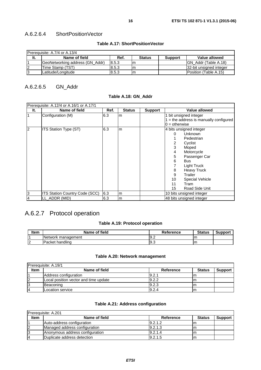### <span id="page-15-0"></span>A.6.2.6.4 ShortPositionVector

### **Table A.17: ShortPositionVector**

| Prerequisite: A.7/4 or A.13/4 |                                 |       |               |                |                          |  |  |
|-------------------------------|---------------------------------|-------|---------------|----------------|--------------------------|--|--|
| It.                           | Name of field                   | Ref.  | <b>Status</b> | <b>Support</b> | Value allowed            |  |  |
|                               | GeoNetworking address (GN Addr) | 8.5.3 | ım            |                | IGN Addr (Table A.18)    |  |  |
|                               | Time Stamp (TST)                | 8.5.3 | ım            |                | 132-bit unsigned integer |  |  |
| 13                            | ILatitude/Longitude             | 8.5.3 | Im            |                | Position (Table A.15)    |  |  |

### A.6.2.6.5 GN\_Addr

### **Table A.18: GN\_Addr**

|                | Prerequisite: A.12/4 or A.16/1 or A.17/1 |      |               |                |                                        |  |  |  |
|----------------|------------------------------------------|------|---------------|----------------|----------------------------------------|--|--|--|
| It.            | Name of field                            | Ref. | <b>Status</b> | <b>Support</b> | Value allowed                          |  |  |  |
| 1              | Configuration (M)                        | 6.3  | m             |                | 1 bit unsigned integer                 |  |  |  |
|                |                                          |      |               |                | $=$ the address is manually configured |  |  |  |
|                |                                          |      |               |                | $0 =$ otherwise                        |  |  |  |
| $\overline{c}$ | <b>ITS Station Type (ST)</b>             | 6.3  | m             |                | 4 bits unsigned integer                |  |  |  |
|                |                                          |      |               |                | <b>Unknown</b><br>$\Omega$             |  |  |  |
|                |                                          |      |               |                | Pedestrian                             |  |  |  |
|                |                                          |      |               |                | 2<br>Cyclist                           |  |  |  |
|                |                                          |      |               |                | 3<br>Moped                             |  |  |  |
|                |                                          |      |               |                | Motorcycle<br>4                        |  |  |  |
|                |                                          |      |               |                | 5<br>Passenger Car                     |  |  |  |
|                |                                          |      |               |                | 6<br><b>Bus</b>                        |  |  |  |
|                |                                          |      |               |                | Light Truck                            |  |  |  |
|                |                                          |      |               |                | 8<br><b>Heavy Truck</b>                |  |  |  |
|                |                                          |      |               |                | 9<br>Trailer                           |  |  |  |
|                |                                          |      |               |                | 10<br><b>Special Vehicle</b>           |  |  |  |
|                |                                          |      |               |                | 11<br>Tram                             |  |  |  |
|                |                                          |      |               |                | Road Side Unit<br>15                   |  |  |  |
| 3              | ITS Station Country Code (SCC)           | 6.3  | m             |                | 10 bits unsigned integer               |  |  |  |
| 4              | LL_ADDR (MID)                            | 6.3  | m             |                | 48 bits unsigned integer               |  |  |  |

### A.6.2.7 Protocol operation

### **Table A.19: Protocol operation**

| Item | Name of field      | <b>Reference</b> | <b>Status</b> | <b>Support</b> |
|------|--------------------|------------------|---------------|----------------|
|      | Network management | $\cup$ . $\sim$  |               |                |
| └    | handling<br>Packet | ◡                | ш             |                |

### **Table A.20: Network management**

| Prerequisite: A.19/1 |                                       |           |               |                |
|----------------------|---------------------------------------|-----------|---------------|----------------|
| <b>Item</b>          | Name of field                         | Reference | <b>Status</b> | <b>Support</b> |
|                      | Address configuration                 | 9.2.1     | m             |                |
| 2                    | Local position vector and time update | 9.2.2     | ım            |                |
| 13                   | Beaconing                             | 9.2.3     | m             |                |
| $\overline{4}$       | Location service                      | 9.2.4     | lm            |                |

### **Table A.21: Address configuration**

|             | Prerequisite: A.201             |           |               |                |  |
|-------------|---------------------------------|-----------|---------------|----------------|--|
| <b>Item</b> | Name of field                   | Reference | <b>Status</b> | <b>Support</b> |  |
|             | Auto-address configuration      | 9.2.1.2   |               |                |  |
|             | Managed address configuration   | 9.2.1.3   | ım            |                |  |
| 13          | Anonymous address configuration | 9.2.1.4   |               |                |  |
| 14          | Duplicate address detection     | 9.2.1.5   | Im            |                |  |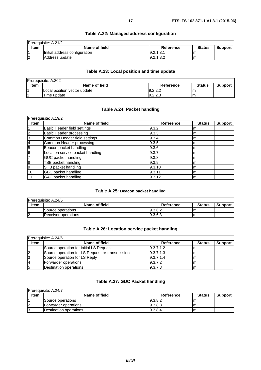<span id="page-16-0"></span>

| <b>Prerequisite: A.21/2</b> |                               |            |               |         |
|-----------------------------|-------------------------------|------------|---------------|---------|
| Item                        | Name of field                 | Reference  | <b>Status</b> | Support |
|                             | Initial address configuration | 19.2.1.3.1 | Im            |         |
| 12                          | Address update                | 9.2.1.3.2  | Im            |         |

### **Table A.22: Managed address configuration**

### **Table A.23: Local position and time update**

| Prerequisite: A.202 |                              |           |               |                |
|---------------------|------------------------------|-----------|---------------|----------------|
| Item                | Name of field                | Reference | <b>Status</b> | <b>Support</b> |
|                     | Local position vector update | 9.2.2.2   |               |                |
| $\overline{2}$      | Time update                  | 9.2.2.3   | m             |                |

### **Table A.24: Packet handling**

|                | Prerequisite: A.19/2             |                  |               |                |  |  |
|----------------|----------------------------------|------------------|---------------|----------------|--|--|
| <b>Item</b>    | Name of field                    | <b>Reference</b> | <b>Status</b> | <b>Support</b> |  |  |
|                | Basic Header field settings      | 9.3.2            | Im            |                |  |  |
| $\overline{2}$ | Basic Header processing          | 9.3.3            | Im            |                |  |  |
| 3              | Common Header field settings     | 9.3.4            | Im            |                |  |  |
| 4              | Common Header processing         | 9.3.5            | Im            |                |  |  |
| $\overline{5}$ | Beacon packet handling           | 9.3.6            | Im            |                |  |  |
| 6              | Location service packet handling | 9.3.7            | Im            |                |  |  |
| 7              | <b>GUC packet handling</b>       | 9.3.8            | Im            |                |  |  |
| 8              | TSB packet handling              | 9.3.9            | Im            |                |  |  |
| 9              | SHB packet handling              | 9.3.10           | Im            |                |  |  |
| 10             | GBC packet handling              | 9.3.11           | Im            |                |  |  |
| 11             | GAC packet handling              | 9.3.12           | Im            |                |  |  |

### **Table A.25: Beacon packet handling**

|             | Prerequisite: A.24/5 |           |               |                |
|-------------|----------------------|-----------|---------------|----------------|
| <b>Item</b> | Name of field        | Reference | <b>Status</b> | <b>Support</b> |
|             | Source operations    | 9.3.6.2   | ıη            |                |
| $\sqrt{2}$  | Receiver operations  | 19.3.6.3  | ım            |                |

### **Table A.26: Location service packet handling**

|             | Prerequisite: A.24/6                            |           |               |                |  |
|-------------|-------------------------------------------------|-----------|---------------|----------------|--|
| <b>Item</b> | Name of field                                   | Reference | <b>Status</b> | <b>Support</b> |  |
|             | <b>ISource operation for initial LS Request</b> | 9.3.7.1.2 | ım            |                |  |
|             | Source operation for LS Request re-transmission | 9.3.7.1.3 | Im            |                |  |
|             | Source operation for LS Reply                   | 9.3.7.1.4 | ım            |                |  |
|             | Forwarder operations                            | 9.3.7.2   | Im            |                |  |
| 15          | Destination operations                          | 9.3.7.3   | Im            |                |  |

### **Table A.27: GUC Packet handling**

|             | <b>IPrerequisite: A.24/7</b> |           |               |                |  |  |
|-------------|------------------------------|-----------|---------------|----------------|--|--|
| <b>Item</b> | Name of field                | Reference | <b>Status</b> | <b>Support</b> |  |  |
|             | Source operations            | 19.3.8.2  | Ιm            |                |  |  |
|             | lForwarder operations        | 19.3.8.3  | ım            |                |  |  |
|             | Destination operations       | 9.3.8.4   | Im            |                |  |  |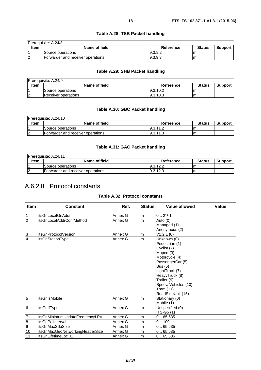### **Table A.28: TSB Packet handling**

### **Table A.29: SHB Packet handling**

<span id="page-17-0"></span>

|            | <b>Prerequisite: A.24/9</b> |           |               |                |
|------------|-----------------------------|-----------|---------------|----------------|
| Item       | Name of field               | Reference | <b>Status</b> | <b>Support</b> |
|            | Source operations           | 19.3.10.2 | m             |                |
| $\sqrt{2}$ | Receiver operations         | 19.3.10.3 | ım            |                |

### **Table A.30: GBC Packet handling**

| Prerequisite: A.24/10 |                                   |           |               |                |  |
|-----------------------|-----------------------------------|-----------|---------------|----------------|--|
| <b>Item</b>           | Name of field                     | Reference | <b>Status</b> | <b>Support</b> |  |
|                       | <b>Source operations</b>          | 19.3.11.2 | ıη            |                |  |
| 12                    | Forwarder and receiver operations | 19.3.11.3 | m             |                |  |

### **Table A.31: GAC Packet handling**

| IPrerequisite: A.24/11 |                                   |           |               |                |
|------------------------|-----------------------------------|-----------|---------------|----------------|
| Item                   | Name of field                     | Reference | <b>Status</b> | <b>Support</b> |
|                        | Source operations                 | 19.3.12.2 | ım            |                |
|                        | Forwarder and receiver operations | 9.3.12.3  | ım            |                |

### A.6.2.8 Protocol constants

### **Table A.32: Protocol constants**

| <b>Item</b>             | <b>Constant</b>                 | Ref.    | <b>Status</b> | Value allowed                                                                                                                                                                                                                  | Value |
|-------------------------|---------------------------------|---------|---------------|--------------------------------------------------------------------------------------------------------------------------------------------------------------------------------------------------------------------------------|-------|
| $\mathbf{1}$            | <b>itsGnLocalGnAddr</b>         | Annex G | m             | $0.2^{48} - 1$                                                                                                                                                                                                                 |       |
| $\overline{2}$          | itsGnLocalAddrConfMethod        | Annex G | lm            | Auto (0)<br>Managed (1)<br>Anonymous (2)                                                                                                                                                                                       |       |
| 3                       | itsGnProtocolVersion            | Annex G | lm.           | V1.2.1(0)                                                                                                                                                                                                                      |       |
| $\overline{4}$          | itsGnStationType                | Annex G | lm            | Unknown (0)<br>Pedestrian (1)<br>Cyclist (2)<br>Moped (3)<br>Motorcycle (4)<br>PassengerCar (5)<br><b>Bus</b> (6)<br>LightTruck (7)<br>HeavyTruck (8)<br>Trailer (9)<br>SpecialVehicles (10)<br>Tram (11)<br>RoadSideUnit (15) |       |
| $\overline{5}$          | itsGnIsMobile                   | Annex G | lm.           | Stationary (0)<br>Mobile (1)                                                                                                                                                                                                   |       |
| $6\phantom{.}6$         | itsGnIfType                     | Annex G | lm            | Unspecified (0)<br>ITS-G5 (1)                                                                                                                                                                                                  |       |
| $\overline{7}$          | itsGnMinimumUpdateFrequencyLPV  | Annex G | m             | 0.65635                                                                                                                                                                                                                        |       |
| $\overline{\mathbf{8}}$ | itsGnPaiInterval                | Annex G | lm            | 0.100                                                                                                                                                                                                                          |       |
| $\overline{9}$          | itsGnMaxSduSize                 | Annex G | lm            | 0.65635                                                                                                                                                                                                                        |       |
| 10                      | itsGnMaxGeoNetworkingHeaderSize | Annex G | m             | 0.65635                                                                                                                                                                                                                        |       |
| 11                      | itsGnLifetimeLocTE              | Annex G | lm.           | 0.65635                                                                                                                                                                                                                        |       |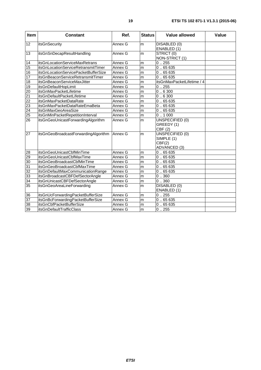| <b>Item</b>     | <b>Constant</b>                              | Ref.    | <b>Status</b> | Value allowed                                           | Value |
|-----------------|----------------------------------------------|---------|---------------|---------------------------------------------------------|-------|
| 12              | <b>itsGnSecurity</b>                         | Annex G | m             | DISABLED (0)<br>ENABLED (1)                             |       |
| 13              | itsGnSnDecapResultHandling                   | Annex G | lm.           | STRICT (0)<br>NON-STRICT (1)                            |       |
| 14              | itsGnLocationServiceMaxRetrans               | Annex G | m             | 0.255                                                   |       |
| 15              | itsGnLocationServiceRetransmitTimer          | Annex G | m             | 0.65635                                                 |       |
| 16              | itsGnLocationServicePacketBufferSize         | Annex G | m             | 0.65635                                                 |       |
| 17              | itsGnBeaconServiceRetransmitTimer            | Annex G | m             | 0.65635                                                 |       |
| 18              | itsGnBeaconServiceMaxJitter                  | Annex G | m             | itsGnMaxPacketLifetime / 4                              |       |
| 19              | itsGnDefaultHopLimit                         | Annex G | m             | 0.255                                                   |       |
| 20              | itsGnMaxPacketLifetime                       | Annex G | m             | 0.6300                                                  |       |
| $\overline{21}$ | itsGnDefaultPacketLifetime                   | Annex G | m             | 0.6300                                                  |       |
| $\overline{22}$ | <b>itsGnMaxPacketDataRate</b>                | Annex G | m             | 0.65635                                                 |       |
| 23              | itsGnMaxPacketDataRateEmaBeta                | Annex G | m             | 0.65635                                                 |       |
| $\overline{24}$ | itsGnMaxGeoAreaSize                          | Annex G | m             | 0.65635                                                 |       |
| 25              | itsGnMinPacketRepetitionInterval             | Annex G | m             | 0.1000                                                  |       |
| 26              | itsGnGeoUnicastForwardingAlgorithm           | Annex G | m             | <b>UNSPECIFIED (0)</b><br>GREEDY (1)<br>CBF(2)          |       |
| $\overline{27}$ | itsGnGeoBroadcastForwardingAlgorithm         | Annex G | m             | UNSPECIFIED (0)<br>SIMPLE (1)<br>CBF(2)<br>ADVANCED (3) |       |
| $\overline{28}$ | itsGnGeoUnicastCbfMinTime                    | Annex G | m             | 0.65635                                                 |       |
| 29              | itsGnGeoUnicastCbfMaxTime                    | Annex G | m             | 0.65635                                                 |       |
| 30              | itsGnGeoBroadcastCbfMinTime                  | Annex G | m             | 0.65635                                                 |       |
| 31              | itsGnGeoBroadcastCbfMaxTime                  | Annex G | m             | 0.65635                                                 |       |
| 32              | itsGnDefaultMaxCommunicationRange            | Annex G | m             | 0.65635                                                 |       |
| 33              | itsGnBroadcastCBFDefSectorAngle              | Annex G | m             | $\overline{0}$ 360                                      |       |
| $\overline{34}$ | itsGnUnicastCBFDefSectorAngle                | Annex G | m             | 0.360                                                   |       |
| 35              | itsGnGeoAreaLineForwarding                   | Annex G | m             | DISABLED (0)<br>ENABLED (1)                             |       |
| 36              | itsGnUcForwardingPacketBufferSize            | Annex G | m             | 0.255                                                   |       |
| $\overline{37}$ | itsGnBcForwardingPacketBufferSize<br>Annex G |         | m             | 0.65635                                                 |       |
| 38              | itsGnCbfPacketBufferSize                     | Annex G | m             | 0.65635                                                 |       |
| 39              | itsGnDefaultTrafficClass                     | Annex G | m             | 0.255                                                   |       |